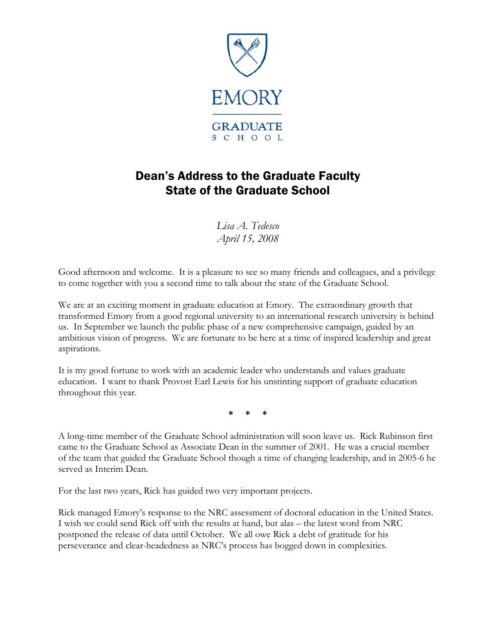

## Dean's Address to the Graduate Faculty State of the Graduate School

*Lisa A. Tedesco April 15, 2008* 

Good afternoon and welcome. It is a pleasure to see so many friends and colleagues, and a privilege to come together with you a second time to talk about the state of the Graduate School.

We are at an exciting moment in graduate education at Emory. The extraordinary growth that transformed Emory from a good regional university to an international research university is behind us. In September we launch the public phase of a new comprehensive campaign, guided by an ambitious vision of progress. We are fortunate to be here at a time of inspired leadership and great aspirations.

It is my good fortune to work with an academic leader who understands and values graduate education. I want to thank Provost Earl Lewis for his unstinting support of graduate education throughout this year.

**\* \* \*** 

A long-time member of the Graduate School administration will soon leave us. Rick Rubinson first came to the Graduate School as Associate Dean in the summer of 2001. He was a crucial member of the team that guided the Graduate School though a time of changing leadership, and in 2005-6 he served as Interim Dean.

For the last two years, Rick has guided two very important projects.

Rick managed Emory's response to the NRC assessment of doctoral education in the United States. I wish we could send Rick off with the results at hand, but alas – the latest word from NRC postponed the release of data until October. We all owe Rick a debt of gratitude for his perseverance and clear-headedness as NRC's process has bogged down in complexities.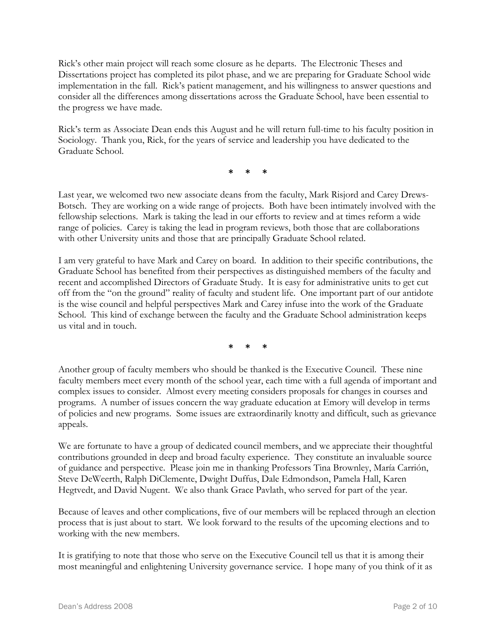Rick's other main project will reach some closure as he departs. The Electronic Theses and Dissertations project has completed its pilot phase, and we are preparing for Graduate School wide implementation in the fall. Rick's patient management, and his willingness to answer questions and consider all the differences among dissertations across the Graduate School, have been essential to the progress we have made.

Rick's term as Associate Dean ends this August and he will return full-time to his faculty position in Sociology. Thank you, Rick, for the years of service and leadership you have dedicated to the Graduate School.

**\* \* \*** 

Last year, we welcomed two new associate deans from the faculty, Mark Risjord and Carey Drews-Botsch. They are working on a wide range of projects. Both have been intimately involved with the fellowship selections. Mark is taking the lead in our efforts to review and at times reform a wide range of policies. Carey is taking the lead in program reviews, both those that are collaborations with other University units and those that are principally Graduate School related.

I am very grateful to have Mark and Carey on board. In addition to their specific contributions, the Graduate School has benefited from their perspectives as distinguished members of the faculty and recent and accomplished Directors of Graduate Study. It is easy for administrative units to get cut off from the "on the ground" reality of faculty and student life. One important part of our antidote is the wise council and helpful perspectives Mark and Carey infuse into the work of the Graduate School. This kind of exchange between the faculty and the Graduate School administration keeps us vital and in touch.

**\* \* \*** 

Another group of faculty members who should be thanked is the Executive Council. These nine faculty members meet every month of the school year, each time with a full agenda of important and complex issues to consider. Almost every meeting considers proposals for changes in courses and programs. A number of issues concern the way graduate education at Emory will develop in terms of policies and new programs. Some issues are extraordinarily knotty and difficult, such as grievance appeals.

We are fortunate to have a group of dedicated council members, and we appreciate their thoughtful contributions grounded in deep and broad faculty experience. They constitute an invaluable source of guidance and perspective. Please join me in thanking Professors Tina Brownley, María Carrión, Steve DeWeerth, Ralph DiClemente, Dwight Duffus, Dale Edmondson, Pamela Hall, Karen Hegtvedt, and David Nugent. We also thank Grace Pavlath, who served for part of the year.

Because of leaves and other complications, five of our members will be replaced through an election process that is just about to start. We look forward to the results of the upcoming elections and to working with the new members.

It is gratifying to note that those who serve on the Executive Council tell us that it is among their most meaningful and enlightening University governance service. I hope many of you think of it as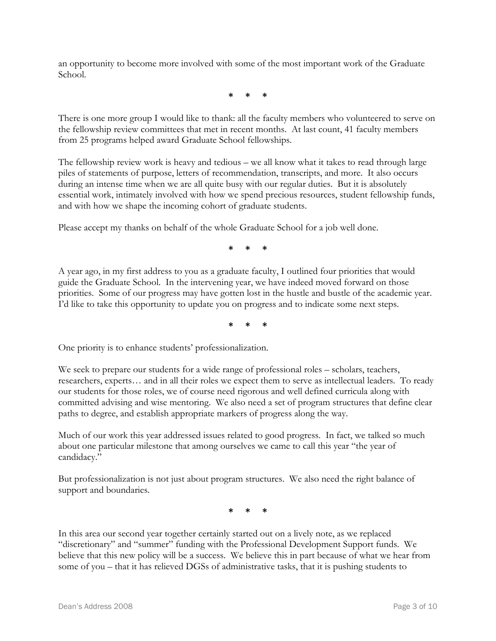an opportunity to become more involved with some of the most important work of the Graduate School.

**\* \* \*** 

There is one more group I would like to thank: all the faculty members who volunteered to serve on the fellowship review committees that met in recent months. At last count, 41 faculty members from 25 programs helped award Graduate School fellowships.

The fellowship review work is heavy and tedious – we all know what it takes to read through large piles of statements of purpose, letters of recommendation, transcripts, and more. It also occurs during an intense time when we are all quite busy with our regular duties. But it is absolutely essential work, intimately involved with how we spend precious resources, student fellowship funds, and with how we shape the incoming cohort of graduate students.

Please accept my thanks on behalf of the whole Graduate School for a job well done.

**\* \* \*** 

A year ago, in my first address to you as a graduate faculty, I outlined four priorities that would guide the Graduate School. In the intervening year, we have indeed moved forward on those priorities. Some of our progress may have gotten lost in the hustle and bustle of the academic year. I'd like to take this opportunity to update you on progress and to indicate some next steps.

**\* \* \*** 

One priority is to enhance students' professionalization.

We seek to prepare our students for a wide range of professional roles – scholars, teachers, researchers, experts… and in all their roles we expect them to serve as intellectual leaders. To ready our students for those roles, we of course need rigorous and well defined curricula along with committed advising and wise mentoring. We also need a set of program structures that define clear paths to degree, and establish appropriate markers of progress along the way.

Much of our work this year addressed issues related to good progress. In fact, we talked so much about one particular milestone that among ourselves we came to call this year "the year of candidacy."

But professionalization is not just about program structures. We also need the right balance of support and boundaries.

**\* \* \*** 

In this area our second year together certainly started out on a lively note, as we replaced "discretionary" and "summer" funding with the Professional Development Support funds. We believe that this new policy will be a success. We believe this in part because of what we hear from some of you – that it has relieved DGSs of administrative tasks, that it is pushing students to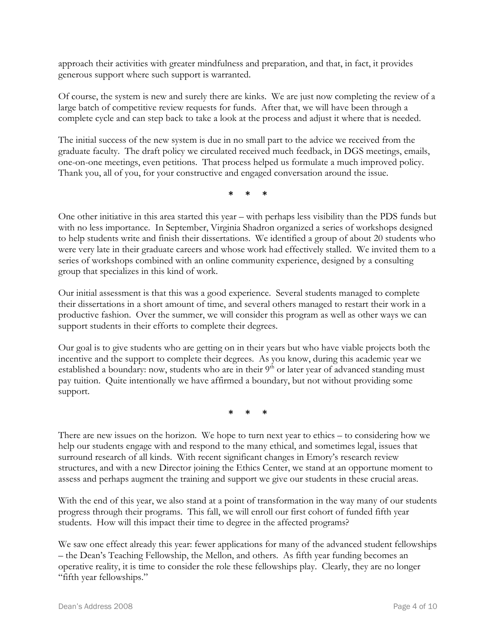approach their activities with greater mindfulness and preparation, and that, in fact, it provides generous support where such support is warranted.

Of course, the system is new and surely there are kinks. We are just now completing the review of a large batch of competitive review requests for funds. After that, we will have been through a complete cycle and can step back to take a look at the process and adjust it where that is needed.

The initial success of the new system is due in no small part to the advice we received from the graduate faculty. The draft policy we circulated received much feedback, in DGS meetings, emails, one-on-one meetings, even petitions. That process helped us formulate a much improved policy. Thank you, all of you, for your constructive and engaged conversation around the issue.

**\* \* \*** 

One other initiative in this area started this year – with perhaps less visibility than the PDS funds but with no less importance. In September, Virginia Shadron organized a series of workshops designed to help students write and finish their dissertations. We identified a group of about 20 students who were very late in their graduate careers and whose work had effectively stalled. We invited them to a series of workshops combined with an online community experience, designed by a consulting group that specializes in this kind of work.

Our initial assessment is that this was a good experience. Several students managed to complete their dissertations in a short amount of time, and several others managed to restart their work in a productive fashion. Over the summer, we will consider this program as well as other ways we can support students in their efforts to complete their degrees.

Our goal is to give students who are getting on in their years but who have viable projects both the incentive and the support to complete their degrees. As you know, during this academic year we established a boundary: now, students who are in their  $9<sup>th</sup>$  or later year of advanced standing must pay tuition. Quite intentionally we have affirmed a boundary, but not without providing some support.

**\* \* \*** 

There are new issues on the horizon. We hope to turn next year to ethics – to considering how we help our students engage with and respond to the many ethical, and sometimes legal, issues that surround research of all kinds. With recent significant changes in Emory's research review structures, and with a new Director joining the Ethics Center, we stand at an opportune moment to assess and perhaps augment the training and support we give our students in these crucial areas.

With the end of this year, we also stand at a point of transformation in the way many of our students progress through their programs. This fall, we will enroll our first cohort of funded fifth year students. How will this impact their time to degree in the affected programs?

We saw one effect already this year: fewer applications for many of the advanced student fellowships – the Dean's Teaching Fellowship, the Mellon, and others. As fifth year funding becomes an operative reality, it is time to consider the role these fellowships play. Clearly, they are no longer "fifth year fellowships."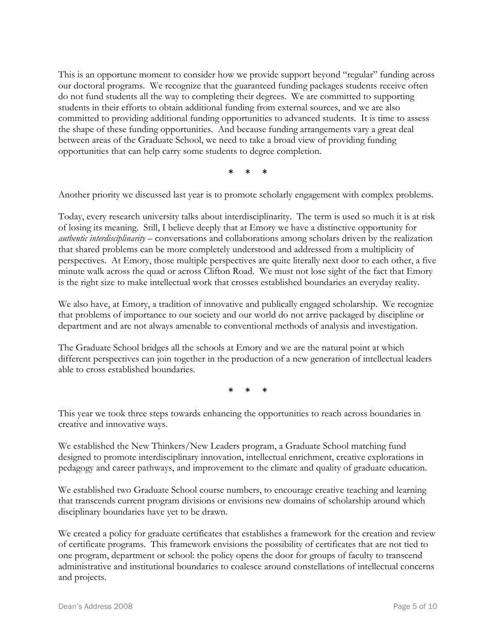This is an opportune moment to consider how we provide support beyond "regular" funding across our doctoral programs. We recognize that the guaranteed funding packages students receive often do not fund students all the way to completing their degrees. We are committed to supporting students in their efforts to obtain additional funding from external sources, and we are also committed to providing additional funding opportunities to advanced students. It is time to assess the shape of these funding opportunities. And because funding arrangements vary a great deal between areas of the Graduate School, we need to take a broad view of providing funding opportunities that can help carry some students to degree completion.

**\* \* \*** 

Another priority we discussed last year is to promote scholarly engagement with complex problems.

Today, every research university talks about interdisciplinarity. The term is used so much it is at risk of losing its meaning. Still, I believe deeply that at Emory we have a distinctive opportunity for *authentic interdisciplinarity* – conversations and collaborations among scholars driven by the realization that shared problems can be more completely understood and addressed from a multiplicity of perspectives. At Emory, those multiple perspectives are quite literally next door to each other, a five minute walk across the quad or across Clifton Road. We must not lose sight of the fact that Emory is the right size to make intellectual work that crosses established boundaries an everyday reality.

We also have, at Emory, a tradition of innovative and publically engaged scholarship. We recognize that problems of importance to our society and our world do not arrive packaged by discipline or department and are not always amenable to conventional methods of analysis and investigation.

The Graduate School bridges all the schools at Emory and we are the natural point at which different perspectives can join together in the production of a new generation of intellectual leaders able to cross established boundaries.

**\* \* \*** 

This year we took three steps towards enhancing the opportunities to reach across boundaries in creative and innovative ways.

We established the New Thinkers/New Leaders program, a Graduate School matching fund designed to promote interdisciplinary innovation, intellectual enrichment, creative explorations in pedagogy and career pathways, and improvement to the climate and quality of graduate education.

We established two Graduate School course numbers, to encourage creative teaching and learning that transcends current program divisions or envisions new domains of scholarship around which disciplinary boundaries have yet to be drawn.

We created a policy for graduate certificates that establishes a framework for the creation and review of certificate programs. This framework envisions the possibility of certificates that are not tied to one program, department or school: the policy opens the door for groups of faculty to transcend administrative and institutional boundaries to coalesce around constellations of intellectual concerns and projects.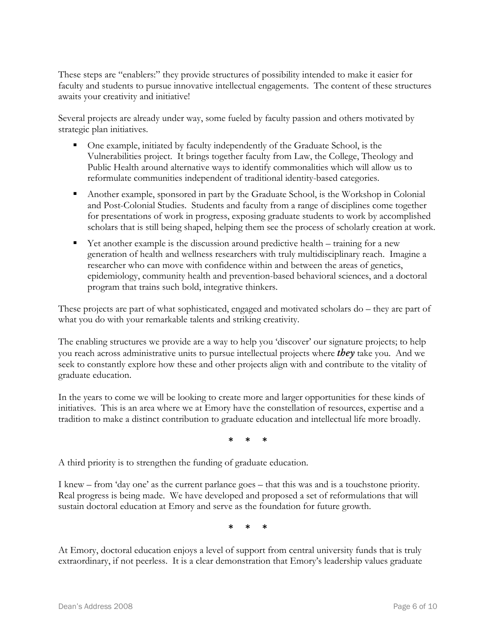These steps are "enablers:" they provide structures of possibility intended to make it easier for faculty and students to pursue innovative intellectual engagements. The content of these structures awaits your creativity and initiative!

Several projects are already under way, some fueled by faculty passion and others motivated by strategic plan initiatives.

- One example, initiated by faculty independently of the Graduate School, is the Vulnerabilities project. It brings together faculty from Law, the College, Theology and Public Health around alternative ways to identify commonalities which will allow us to reformulate communities independent of traditional identity-based categories.
- Another example, sponsored in part by the Graduate School, is the Workshop in Colonial and Post-Colonial Studies. Students and faculty from a range of disciplines come together for presentations of work in progress, exposing graduate students to work by accomplished scholars that is still being shaped, helping them see the process of scholarly creation at work.
- Yet another example is the discussion around predictive health training for a new generation of health and wellness researchers with truly multidisciplinary reach. Imagine a researcher who can move with confidence within and between the areas of genetics, epidemiology, community health and prevention-based behavioral sciences, and a doctoral program that trains such bold, integrative thinkers.

These projects are part of what sophisticated, engaged and motivated scholars do – they are part of what you do with your remarkable talents and striking creativity.

The enabling structures we provide are a way to help you 'discover' our signature projects; to help you reach across administrative units to pursue intellectual projects where *they* take you. And we seek to constantly explore how these and other projects align with and contribute to the vitality of graduate education.

In the years to come we will be looking to create more and larger opportunities for these kinds of initiatives. This is an area where we at Emory have the constellation of resources, expertise and a tradition to make a distinct contribution to graduate education and intellectual life more broadly.

**\* \* \*** 

A third priority is to strengthen the funding of graduate education.

I knew – from 'day one' as the current parlance goes – that this was and is a touchstone priority. Real progress is being made. We have developed and proposed a set of reformulations that will sustain doctoral education at Emory and serve as the foundation for future growth.

**\* \* \*** 

At Emory, doctoral education enjoys a level of support from central university funds that is truly extraordinary, if not peerless. It is a clear demonstration that Emory's leadership values graduate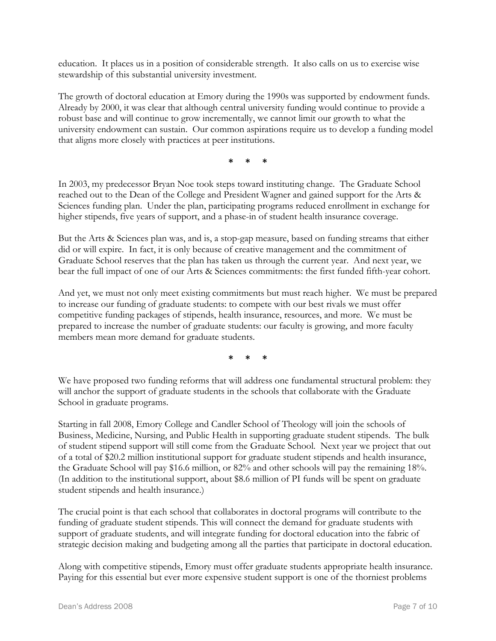education. It places us in a position of considerable strength. It also calls on us to exercise wise stewardship of this substantial university investment.

The growth of doctoral education at Emory during the 1990s was supported by endowment funds. Already by 2000, it was clear that although central university funding would continue to provide a robust base and will continue to grow incrementally, we cannot limit our growth to what the university endowment can sustain. Our common aspirations require us to develop a funding model that aligns more closely with practices at peer institutions.

**\* \* \*** 

In 2003, my predecessor Bryan Noe took steps toward instituting change. The Graduate School reached out to the Dean of the College and President Wagner and gained support for the Arts & Sciences funding plan. Under the plan, participating programs reduced enrollment in exchange for higher stipends, five years of support, and a phase-in of student health insurance coverage.

But the Arts & Sciences plan was, and is, a stop-gap measure, based on funding streams that either did or will expire. In fact, it is only because of creative management and the commitment of Graduate School reserves that the plan has taken us through the current year. And next year, we bear the full impact of one of our Arts & Sciences commitments: the first funded fifth-year cohort.

And yet, we must not only meet existing commitments but must reach higher. We must be prepared to increase our funding of graduate students: to compete with our best rivals we must offer competitive funding packages of stipends, health insurance, resources, and more. We must be prepared to increase the number of graduate students: our faculty is growing, and more faculty members mean more demand for graduate students.

**\* \* \*** 

We have proposed two funding reforms that will address one fundamental structural problem: they will anchor the support of graduate students in the schools that collaborate with the Graduate School in graduate programs.

Starting in fall 2008, Emory College and Candler School of Theology will join the schools of Business, Medicine, Nursing, and Public Health in supporting graduate student stipends. The bulk of student stipend support will still come from the Graduate School. Next year we project that out of a total of \$20.2 million institutional support for graduate student stipends and health insurance, the Graduate School will pay \$16.6 million, or 82% and other schools will pay the remaining 18%. (In addition to the institutional support, about \$8.6 million of PI funds will be spent on graduate student stipends and health insurance.)

The crucial point is that each school that collaborates in doctoral programs will contribute to the funding of graduate student stipends. This will connect the demand for graduate students with support of graduate students, and will integrate funding for doctoral education into the fabric of strategic decision making and budgeting among all the parties that participate in doctoral education.

Along with competitive stipends, Emory must offer graduate students appropriate health insurance. Paying for this essential but ever more expensive student support is one of the thorniest problems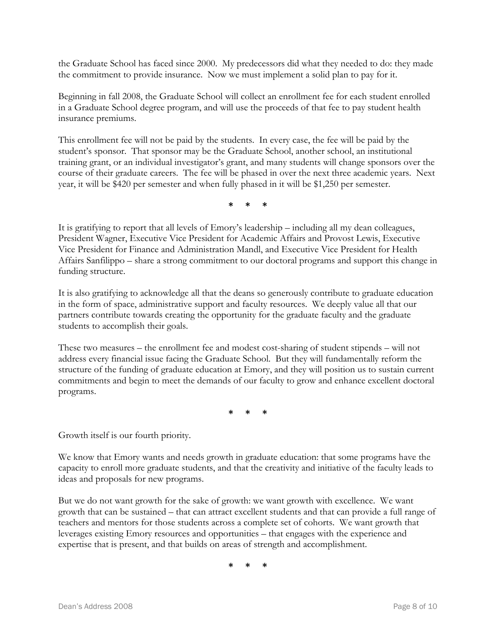the Graduate School has faced since 2000. My predecessors did what they needed to do: they made the commitment to provide insurance. Now we must implement a solid plan to pay for it.

Beginning in fall 2008, the Graduate School will collect an enrollment fee for each student enrolled in a Graduate School degree program, and will use the proceeds of that fee to pay student health insurance premiums.

This enrollment fee will not be paid by the students. In every case, the fee will be paid by the student's sponsor. That sponsor may be the Graduate School, another school, an institutional training grant, or an individual investigator's grant, and many students will change sponsors over the course of their graduate careers. The fee will be phased in over the next three academic years. Next year, it will be \$420 per semester and when fully phased in it will be \$1,250 per semester.

**\* \* \*** 

It is gratifying to report that all levels of Emory's leadership – including all my dean colleagues, President Wagner, Executive Vice President for Academic Affairs and Provost Lewis, Executive Vice President for Finance and Administration Mandl, and Executive Vice President for Health Affairs Sanfilippo – share a strong commitment to our doctoral programs and support this change in funding structure.

It is also gratifying to acknowledge all that the deans so generously contribute to graduate education in the form of space, administrative support and faculty resources. We deeply value all that our partners contribute towards creating the opportunity for the graduate faculty and the graduate students to accomplish their goals.

These two measures – the enrollment fee and modest cost-sharing of student stipends – will not address every financial issue facing the Graduate School. But they will fundamentally reform the structure of the funding of graduate education at Emory, and they will position us to sustain current commitments and begin to meet the demands of our faculty to grow and enhance excellent doctoral programs.

**\* \* \*** 

Growth itself is our fourth priority.

We know that Emory wants and needs growth in graduate education: that some programs have the capacity to enroll more graduate students, and that the creativity and initiative of the faculty leads to ideas and proposals for new programs.

But we do not want growth for the sake of growth: we want growth with excellence. We want growth that can be sustained – that can attract excellent students and that can provide a full range of teachers and mentors for those students across a complete set of cohorts. We want growth that leverages existing Emory resources and opportunities – that engages with the experience and expertise that is present, and that builds on areas of strength and accomplishment.

**\* \* \***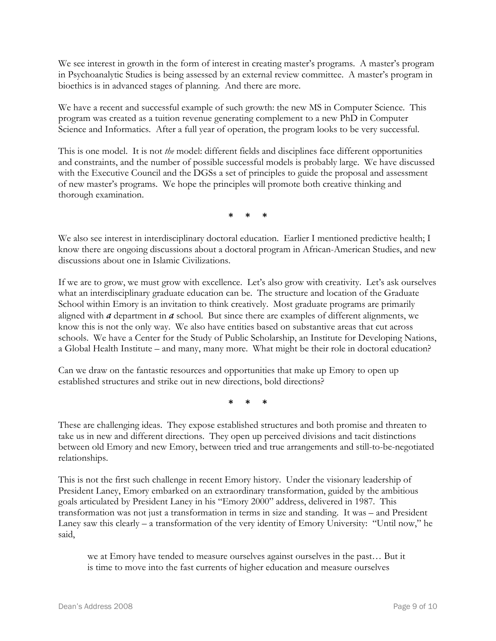We see interest in growth in the form of interest in creating master's programs. A master's program in Psychoanalytic Studies is being assessed by an external review committee. A master's program in bioethics is in advanced stages of planning. And there are more.

We have a recent and successful example of such growth: the new MS in Computer Science. This program was created as a tuition revenue generating complement to a new PhD in Computer Science and Informatics. After a full year of operation, the program looks to be very successful.

This is one model. It is not *the* model: different fields and disciplines face different opportunities and constraints, and the number of possible successful models is probably large. We have discussed with the Executive Council and the DGSs a set of principles to guide the proposal and assessment of new master's programs. We hope the principles will promote both creative thinking and thorough examination.

**\* \* \*** 

We also see interest in interdisciplinary doctoral education. Earlier I mentioned predictive health; I know there are ongoing discussions about a doctoral program in African-American Studies, and new discussions about one in Islamic Civilizations.

If we are to grow, we must grow with excellence. Let's also grow with creativity. Let's ask ourselves what an interdisciplinary graduate education can be. The structure and location of the Graduate School within Emory is an invitation to think creatively. Most graduate programs are primarily aligned with *a* department in *a* school. But since there are examples of different alignments, we know this is not the only way. We also have entities based on substantive areas that cut across schools. We have a Center for the Study of Public Scholarship, an Institute for Developing Nations, a Global Health Institute – and many, many more. What might be their role in doctoral education?

Can we draw on the fantastic resources and opportunities that make up Emory to open up established structures and strike out in new directions, bold directions?

**\* \* \*** 

These are challenging ideas. They expose established structures and both promise and threaten to take us in new and different directions. They open up perceived divisions and tacit distinctions between old Emory and new Emory, between tried and true arrangements and still-to-be-negotiated relationships.

This is not the first such challenge in recent Emory history. Under the visionary leadership of President Laney, Emory embarked on an extraordinary transformation, guided by the ambitious goals articulated by President Laney in his "Emory 2000" address, delivered in 1987. This transformation was not just a transformation in terms in size and standing. It was – and President Laney saw this clearly – a transformation of the very identity of Emory University: "Until now," he said,

we at Emory have tended to measure ourselves against ourselves in the past… But it is time to move into the fast currents of higher education and measure ourselves